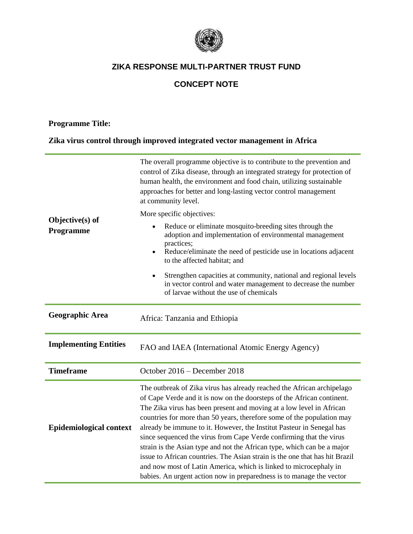

# **CONCEPT NOTE**

### **Programme Title:**

### **Zika virus control through improved integrated vector management in Africa**

| Objective(s) of<br>Programme   | The overall programme objective is to contribute to the prevention and<br>control of Zika disease, through an integrated strategy for protection of<br>human health, the environment and food chain, utilizing sustainable<br>approaches for better and long-lasting vector control management<br>at community level.<br>More specific objectives:<br>Reduce or eliminate mosquito-breeding sites through the<br>adoption and implementation of environmental management<br>practices;<br>Reduce/eliminate the need of pesticide use in locations adjacent<br>to the affected habitat; and<br>Strengthen capacities at community, national and regional levels<br>in vector control and water management to decrease the number<br>of larvae without the use of chemicals |  |  |
|--------------------------------|---------------------------------------------------------------------------------------------------------------------------------------------------------------------------------------------------------------------------------------------------------------------------------------------------------------------------------------------------------------------------------------------------------------------------------------------------------------------------------------------------------------------------------------------------------------------------------------------------------------------------------------------------------------------------------------------------------------------------------------------------------------------------|--|--|
| <b>Geographic Area</b>         | Africa: Tanzania and Ethiopia                                                                                                                                                                                                                                                                                                                                                                                                                                                                                                                                                                                                                                                                                                                                             |  |  |
| <b>Implementing Entities</b>   | FAO and IAEA (International Atomic Energy Agency)                                                                                                                                                                                                                                                                                                                                                                                                                                                                                                                                                                                                                                                                                                                         |  |  |
| <b>Timeframe</b>               | October 2016 - December 2018                                                                                                                                                                                                                                                                                                                                                                                                                                                                                                                                                                                                                                                                                                                                              |  |  |
| <b>Epidemiological context</b> | The outbreak of Zika virus has already reached the African archipelago<br>of Cape Verde and it is now on the doorsteps of the African continent.<br>The Zika virus has been present and moving at a low level in African<br>countries for more than 50 years, therefore some of the population may<br>already be immune to it. However, the Institut Pasteur in Senegal has<br>since sequenced the virus from Cape Verde confirming that the virus<br>strain is the Asian type and not the African type, which can be a major<br>issue to African countries. The Asian strain is the one that has hit Brazil<br>and now most of Latin America, which is linked to microcephaly in<br>babies. An urgent action now in preparedness is to manage the vector                 |  |  |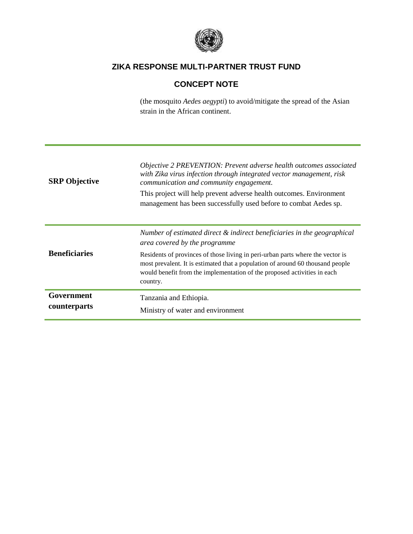

# **CONCEPT NOTE**

(the mosquito *Aedes aegypti*) to avoid/mitigate the spread of the Asian strain in the African continent.

| <b>SRP</b> Objective       | Objective 2 PREVENTION: Prevent adverse health outcomes associated<br>with Zika virus infection through integrated vector management, risk<br>communication and community engagement.<br>This project will help prevent adverse health outcomes. Environment<br>management has been successfully used before to combat Aedes sp.                                     |
|----------------------------|----------------------------------------------------------------------------------------------------------------------------------------------------------------------------------------------------------------------------------------------------------------------------------------------------------------------------------------------------------------------|
| <b>Beneficiaries</b>       | Number of estimated direct & indirect beneficiaries in the geographical<br>area covered by the programme<br>Residents of provinces of those living in peri-urban parts where the vector is<br>most prevalent. It is estimated that a population of around 60 thousand people<br>would benefit from the implementation of the proposed activities in each<br>country. |
| Government<br>counterparts | Tanzania and Ethiopia.<br>Ministry of water and environment                                                                                                                                                                                                                                                                                                          |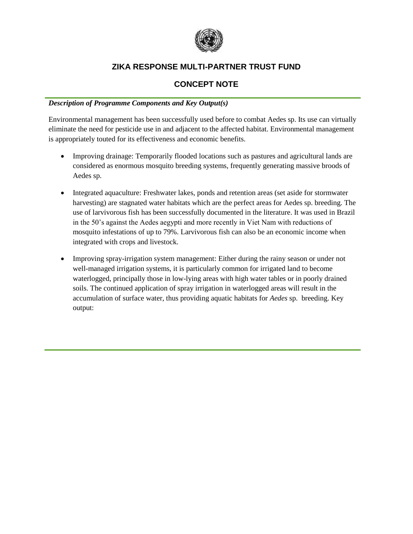

### **CONCEPT NOTE**

#### *Description of Programme Components and Key Output(s)*

Environmental management has been successfully used before to combat Aedes sp. Its use can virtually eliminate the need for pesticide use in and adjacent to the affected habitat. Environmental management is appropriately touted for its effectiveness and economic benefits.

- Improving drainage: Temporarily flooded locations such as pastures and agricultural lands are considered as enormous mosquito breeding systems, frequently generating massive broods of Aedes sp.
- Integrated aquaculture: Freshwater lakes, ponds and retention areas (set aside for stormwater harvesting) are stagnated water habitats which are the perfect areas for Aedes sp. breeding. The use of larvivorous fish has been successfully documented in the literature. It was used in Brazil in the 50's against the Aedes aegypti and more recently in Viet Nam with reductions of mosquito infestations of up to 79%. Larvivorous fish can also be an economic income when integrated with crops and livestock.
- Improving spray-irrigation system management: Either during the rainy season or under not well-managed irrigation systems, it is particularly common for irrigated land to become waterlogged, principally those in low-lying areas with high water tables or in poorly drained soils. The continued application of spray irrigation in waterlogged areas will result in the accumulation of surface water, thus providing aquatic habitats for *Aedes* sp. breeding. Key output: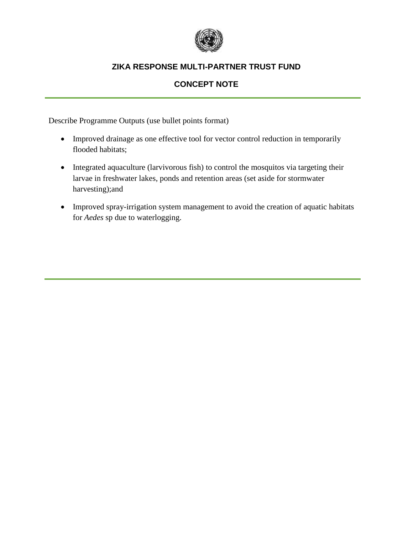

# **CONCEPT NOTE**

Describe Programme Outputs (use bullet points format)

- Improved drainage as one effective tool for vector control reduction in temporarily flooded habitats;
- Integrated aquaculture (larvivorous fish) to control the mosquitos via targeting their larvae in freshwater lakes, ponds and retention areas (set aside for stormwater harvesting);and
- Improved spray-irrigation system management to avoid the creation of aquatic habitats for *Aedes* sp due to waterlogging.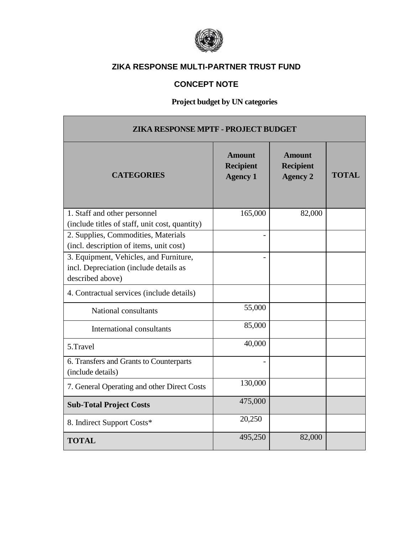

# **CONCEPT NOTE**

# **Project budget by UN categories**

| ZIKA RESPONSE MPTF - PROJECT BUDGET                          |                                                      |                                                      |              |  |  |
|--------------------------------------------------------------|------------------------------------------------------|------------------------------------------------------|--------------|--|--|
| <b>CATEGORIES</b>                                            | <b>Amount</b><br><b>Recipient</b><br><b>Agency 1</b> | <b>Amount</b><br><b>Recipient</b><br><b>Agency 2</b> | <b>TOTAL</b> |  |  |
| 1. Staff and other personnel                                 | 165,000                                              | 82,000                                               |              |  |  |
| (include titles of staff, unit cost, quantity)               |                                                      |                                                      |              |  |  |
| 2. Supplies, Commodities, Materials                          |                                                      |                                                      |              |  |  |
| (incl. description of items, unit cost)                      |                                                      |                                                      |              |  |  |
| 3. Equipment, Vehicles, and Furniture,                       |                                                      |                                                      |              |  |  |
| incl. Depreciation (include details as                       |                                                      |                                                      |              |  |  |
| described above)                                             |                                                      |                                                      |              |  |  |
| 4. Contractual services (include details)                    |                                                      |                                                      |              |  |  |
| National consultants                                         | 55,000                                               |                                                      |              |  |  |
| International consultants                                    | 85,000                                               |                                                      |              |  |  |
| 5.Travel                                                     | 40,000                                               |                                                      |              |  |  |
| 6. Transfers and Grants to Counterparts<br>(include details) |                                                      |                                                      |              |  |  |
| 7. General Operating and other Direct Costs                  | 130,000                                              |                                                      |              |  |  |
| <b>Sub-Total Project Costs</b>                               | 475,000                                              |                                                      |              |  |  |
| 8. Indirect Support Costs*                                   | 20,250                                               |                                                      |              |  |  |
| <b>TOTAL</b>                                                 | 495,250                                              | 82,000                                               |              |  |  |